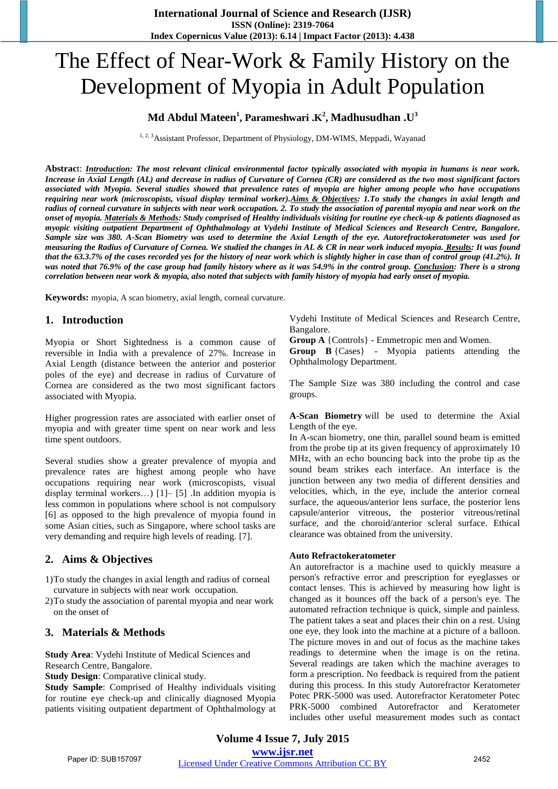# The Effect of Near-Work & Family History on the Development of Myopia in Adult Population

#### **Md Abdul Mateen<sup>1</sup> , Parameshwari .K<sup>2</sup> , Madhusudhan .U<sup>3</sup>**

<sup>1, 2, 3</sup> Assistant Professor, Department of Physiology, DM-WIMS, Meppadi, Wayanad

**Abstrac**t: *Introduction: The most relevant clinical environmental factor typically associated with myopia in humans is near work. Increase in Axial Length (AL) and decrease in radius of Curvature of Cornea (CR) are considered as the two most significant factors associated with Myopia. Several studies showed that prevalence rates of myopia are higher among people who have occupations requiring near work (microscopists, visual display terminal worker).Aims & Objectives: 1.To study the changes in axial length and radius of corneal curvature in subjects with near work occupation. 2. To study the association of parental myopia and near work on the onset of myopia. Materials & Methods: Study comprised of Healthy individuals visiting for routine eye check-up & patients diagnosed as myopic visiting outpatient Department of Ophthalmology at Vydehi Institute of Medical Sciences and Research Centre, Bangalore. Sample size was 380. A-Scan Biometry was used to determine the Axial Length of the eye. Autorefractokeratometer was used for measuring the Radius of Curvature of Cornea. We studied the changes in AL & CR in near work induced myopia. Results: It was found that the 63.3.7% of the cases recorded yes for the history of near work which is slightly higher in case than of control group (41.2%). It was noted that 76.9% of the case group had family history where as it was 54.9% in the control group. Conclusion: There is a strong correlation between near work & myopia, also noted that subjects with family history of myopia had early onset of myopia.*

**Keywords:** myopia, A scan biometry, axial length, corneal curvature*.*

#### **1. Introduction**

Myopia or Short Sightedness is a common cause of reversible in India with a prevalence of 27%. Increase in Axial Length (distance between the anterior and posterior poles of the eye) and decrease in radius of Curvature of Cornea are considered as the two most significant factors associated with Myopia.

Higher progression rates are associated with earlier onset of myopia and with greater time spent on near work and less time spent outdoors.

Several studies show a greater prevalence of myopia and prevalence rates are highest among people who have occupations requiring near work (microscopists, visual display terminal workers…) [1]– [5] .In addition myopia is less common in populations where school is not compulsory [6] as opposed to the high prevalence of myopia found in some Asian cities, such as Singapore, where school tasks are very demanding and require high levels of reading. [7].

#### **2. Aims & Objectives**

1)To study the changes in axial length and radius of corneal curvature in subjects with near work occupation.

2)To study the association of parental myopia and near work on the onset of

#### **3. Materials & Methods**

**Study Area**: Vydehi Institute of Medical Sciences and Research Centre, Bangalore.

**Study Design**: Comparative clinical study.

**Study Sample**: Comprised of Healthy individuals visiting for routine eye check-up and clinically diagnosed Myopia patients visiting outpatient department of Ophthalmology at Vydehi Institute of Medical Sciences and Research Centre, Bangalore.

**Group A** {Controls} - Emmetropic men and Women.

**Group B** {Cases} - Myopia patients attending the Ophthalmology Department.

The Sample Size was 380 including the control and case groups.

**A-Scan Biometry** will be used to determine the Axial Length of the eye.

In A-scan biometry, one thin, parallel sound beam is emitted from the probe tip at its given frequency of approximately 10 MHz, with an echo bouncing back into the probe tip as the sound beam strikes each interface. An interface is the junction between any two media of different densities and velocities, which, in the eye, include the anterior corneal surface, the aqueous/anterior lens surface, the posterior lens capsule/anterior vitreous, the posterior vitreous/retinal surface, and the choroid/anterior scleral surface. Ethical clearance was obtained from the university.

#### **Auto Refractokeratometer**

An autorefractor is a machine used to quickly measure a person's refractive error and prescription for eyeglasses or contact lenses. This is achieved by measuring how light is changed as it bounces off the back of a person's eye. The automated refraction technique is quick, simple and painless. The patient takes a seat and places their chin on a rest. Using one eye, they look into the machine at a picture of a balloon. The picture moves in and out of focus as the machine takes readings to determine when the image is on the retina. Several readings are taken which the machine averages to form a prescription. No feedback is required from the patient during this process. In this study Autorefractor Keratometer Potec PRK-5000 was used. Autorefractor Keratometer Potec PRK-5000 combined Autorefractor and Keratometer includes other useful measurement modes such as contact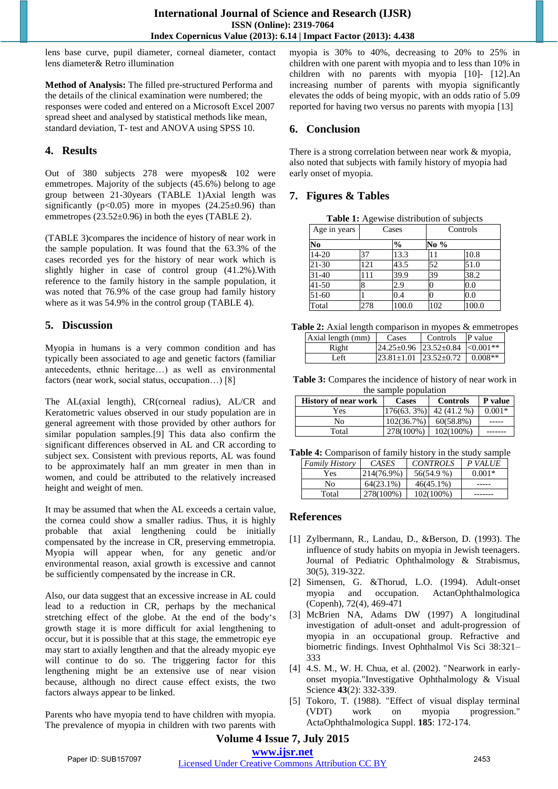lens base curve, pupil diameter, corneal diameter, contact lens diameter& Retro illumination

**Method of Analysis:** The filled pre-structured Performa and the details of the clinical examination were numbered; the responses were coded and entered on a Microsoft Excel 2007 spread sheet and analysed by statistical methods like mean, standard deviation, T- test and ANOVA using SPSS 10.

#### **4. Results**

Out of 380 subjects 278 were myopes& 102 were emmetropes. Majority of the subjects (45.6%) belong to age group between 21-30years (TABLE 1)Axial length was significantly ( $p<0.05$ ) more in myopes ( $24.25\pm0.96$ ) than emmetropes (23.52±0.96) in both the eyes (TABLE 2).

(TABLE 3)compares the incidence of history of near work in the sample population. It was found that the 63.3% of the cases recorded yes for the history of near work which is slightly higher in case of control group (41.2%).With reference to the family history in the sample population, it was noted that 76.9% of the case group had family history where as it was 54.9% in the control group (TABLE 4).

#### **5. Discussion**

Myopia in humans is a very common condition and has typically been associated to age and genetic factors (familiar antecedents, ethnic heritage…) as well as environmental factors (near work, social status, occupation…) [8]

The AL(axial length), CR(corneal radius), AL/CR and Keratometric values observed in our study population are in general agreement with those provided by other authors for similar population samples.[9] This data also confirm the significant differences observed in AL and CR according to subject sex. Consistent with previous reports, AL was found to be approximately half an mm greater in men than in women, and could be attributed to the relatively increased height and weight of men.

It may be assumed that when the AL exceeds a certain value, the cornea could show a smaller radius. Thus, it is highly probable that axial lengthening could be initially compensated by the increase in CR, preserving emmetropia. Myopia will appear when, for any genetic and/or environmental reason, axial growth is excessive and cannot be sufficiently compensated by the increase in CR.

Also, our data suggest that an excessive increase in AL could lead to a reduction in CR, perhaps by the mechanical stretching effect of the globe. At the end of the body's growth stage it is more difficult for axial lengthening to occur, but it is possible that at this stage, the emmetropic eye may start to axially lengthen and that the already myopic eye will continue to do so. The triggering factor for this lengthening might be an extensive use of near vision because, although no direct cause effect exists, the two factors always appear to be linked.

Parents who have myopia tend to have children with myopia. The prevalence of myopia in children with two parents with myopia is 30% to 40%, decreasing to 20% to 25% in children with one parent with myopia and to less than 10% in children with no parents with myopia [10]- [12].An increasing number of parents with myopia significantly elevates the odds of being myopic, with an odds ratio of 5.09 reported for having two versus no parents with myopia [13]

# **6. Conclusion**

There is a strong correlation between near work & myopia, also noted that subjects with family history of myopia had early onset of myopia.

#### **7. Figures & Tables**

**Table 1:** Agewise distribution of subjects

| Age in years | Cases |               | Controls |       |
|--------------|-------|---------------|----------|-------|
| No           |       | $\frac{0}{0}$ | No %     |       |
| $14 - 20$    | 37    | 13.3          | 11       | 10.8  |
| 21-30        | 121   | 43.5          | 52       | 51.0  |
| $31 - 40$    | 111   | 39.9          | 39       | 38.2  |
| $41 - 50$    | 8     | 2.9           |          | 0.0   |
| 51-60        |       | 0.4           |          | 0.0   |
| Total        | 278   | 100.0         | 102      | 100.0 |

| Table 2: Axial length comparison in myopes & emmetropes |                                  |                  |  |
|---------------------------------------------------------|----------------------------------|------------------|--|
| Axial length (mm) Cases                                 |                                  | Controls P value |  |
|                                                         | $21.25.085$ $22.52.091$ 0.001 mm |                  |  |

| $123.81+1.01$ $123.52+0.72$ $1.0.008**$<br>۵fi |  | $25+0.96$ 23.52+0.84 $\leq 0.001**$ |  |
|------------------------------------------------|--|-------------------------------------|--|
|                                                |  |                                     |  |

**Table 3:** Compares the incidence of history of near work in the sample population

| <b>History of near work</b> | Cases         | <b>Controls</b> | P value  |
|-----------------------------|---------------|-----------------|----------|
| Yes                         | $176(63.3\%)$ | 42 (41.2 %)     | $0.001*$ |
| No.                         | $102(36.7\%)$ | 60(58.8%)       |          |
| Total                       | 278(100%)     | $102(100\%)$    |          |

**Table 4:** Comparison of family history in the study sample

| <b>Family History</b> | CASES      | <b>CONTROLS</b> | P VALUE  |
|-----------------------|------------|-----------------|----------|
| Yes                   | 214(76.9%) | 56(54.9 %)      | $0.001*$ |
| No                    | 64(23.1%)  | $46(45.1\%)$    |          |
| Total                 | 278(100%)  | 102(100%)       |          |

#### **References**

- [1] Zylbermann, R., Landau, D., &Berson, D. (1993). The influence of study habits on myopia in Jewish teenagers. Journal of Pediatric Ophthalmology & Strabismus, 30(5), 319-322.
- [2] Simensen, G. &Thorud, L.O. (1994). Adult-onset myopia and occupation. ActanOphthalmologica (Copenh), 72(4), 469-471
- [3] McBrien NA, Adams DW (1997) A longitudinal investigation of adult-onset and adult-progression of myopia in an occupational group. Refractive and biometric findings. Invest Ophthalmol Vis Sci 38:321– 333
- [4] 4.S. M., W. H. Chua, et al. (2002). "Nearwork in earlyonset myopia."Investigative Ophthalmology & Visual Science **43**(2): 332-339.
- [5] Tokoro, T. (1988). "Effect of visual display terminal (VDT) work on myopia progression." ActaOphthalmologica Suppl. **185**: 172-174.

## **Volume 4 Issue 7, July 2015 www.ijsr.net**